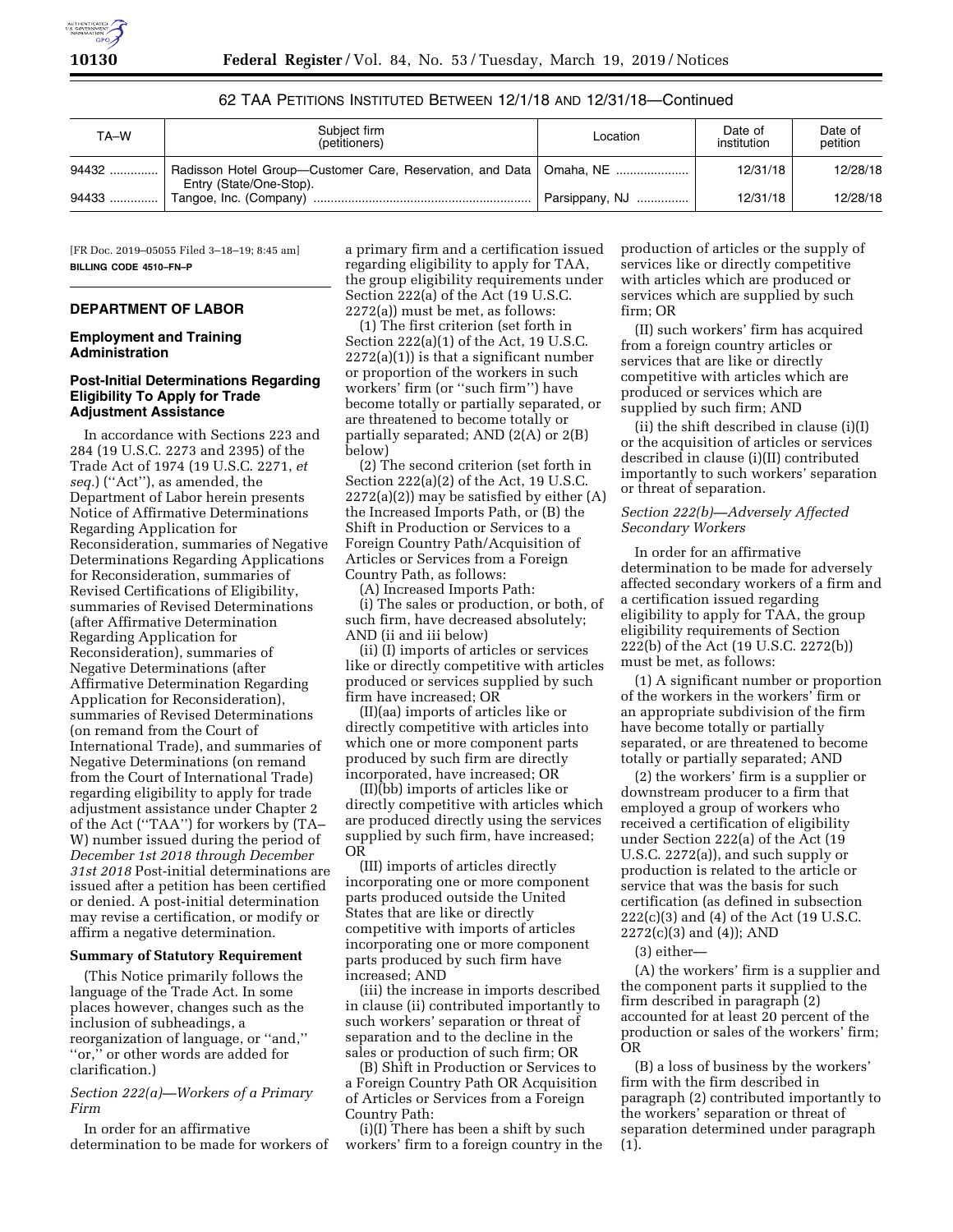| TA–W    | Subject firm<br>(petitioners)                                                                    | Location       | Date of<br>institution | Date of<br>petition |
|---------|--------------------------------------------------------------------------------------------------|----------------|------------------------|---------------------|
| 94432 ! | Radisson Hotel Group—Customer Care, Reservation, and Data   Omaha, NE<br>Entry (State/One-Stop). |                | 12/31/18               | 12/28/18            |
| 94433   |                                                                                                  | Parsippany, NJ | 12/31/18               | 12/28/18            |

62 TAA PETITIONS INSTITUTED BETWEEN 12/1/18 AND 12/31/18—Continued

[FR Doc. 2019–05055 Filed 3–18–19; 8:45 am] **BILLING CODE 4510–FN–P** 

# **DEPARTMENT OF LABOR**

### **Employment and Training Administration**

### **Post-Initial Determinations Regarding Eligibility To Apply for Trade Adjustment Assistance**

In accordance with Sections 223 and 284 (19 U.S.C. 2273 and 2395) of the Trade Act of 1974 (19 U.S.C. 2271, *et seq.*) (''Act''), as amended, the Department of Labor herein presents Notice of Affirmative Determinations Regarding Application for Reconsideration, summaries of Negative Determinations Regarding Applications for Reconsideration, summaries of Revised Certifications of Eligibility, summaries of Revised Determinations (after Affirmative Determination Regarding Application for Reconsideration), summaries of Negative Determinations (after Affirmative Determination Regarding Application for Reconsideration), summaries of Revised Determinations (on remand from the Court of International Trade), and summaries of Negative Determinations (on remand from the Court of International Trade) regarding eligibility to apply for trade adjustment assistance under Chapter 2 of the Act (''TAA'') for workers by (TA– W) number issued during the period of *December 1st 2018 through December 31st 2018* Post-initial determinations are issued after a petition has been certified or denied. A post-initial determination may revise a certification, or modify or affirm a negative determination.

#### **Summary of Statutory Requirement**

(This Notice primarily follows the language of the Trade Act. In some places however, changes such as the inclusion of subheadings, a reorganization of language, or ''and,'' ''or,'' or other words are added for clarification.)

# *Section 222(a)—Workers of a Primary Firm*

In order for an affirmative determination to be made for workers of a primary firm and a certification issued regarding eligibility to apply for TAA, the group eligibility requirements under Section 222(a) of the Act (19 U.S.C. 2272(a)) must be met, as follows:

(1) The first criterion (set forth in Section 222(a)(1) of the Act, 19 U.S.C.  $2272(a)(1)$  is that a significant number or proportion of the workers in such workers' firm (or ''such firm'') have become totally or partially separated, or are threatened to become totally or partially separated; AND (2(A) or 2(B) below)

(2) The second criterion (set forth in Section 222(a)(2) of the Act, 19 U.S.C.  $2272(a)(2)$  may be satisfied by either  $(A)$ the Increased Imports Path, or (B) the Shift in Production or Services to a Foreign Country Path/Acquisition of Articles or Services from a Foreign Country Path, as follows:

(A) Increased Imports Path:

(i) The sales or production, or both, of such firm, have decreased absolutely; AND (ii and iii below)

(ii) (I) imports of articles or services like or directly competitive with articles produced or services supplied by such firm have increased; OR

(II)(aa) imports of articles like or directly competitive with articles into which one or more component parts produced by such firm are directly incorporated, have increased; OR

(II)(bb) imports of articles like or directly competitive with articles which are produced directly using the services supplied by such firm, have increased; OR

(III) imports of articles directly incorporating one or more component parts produced outside the United States that are like or directly competitive with imports of articles incorporating one or more component parts produced by such firm have increased; AND

(iii) the increase in imports described in clause (ii) contributed importantly to such workers' separation or threat of separation and to the decline in the sales or production of such firm; OR

(B) Shift in Production or Services to a Foreign Country Path OR Acquisition of Articles or Services from a Foreign Country Path:

(i)(I) There has been a shift by such workers' firm to a foreign country in the production of articles or the supply of services like or directly competitive with articles which are produced or services which are supplied by such firm; OR

(II) such workers' firm has acquired from a foreign country articles or services that are like or directly competitive with articles which are produced or services which are supplied by such firm; AND

(ii) the shift described in clause (i)(I) or the acquisition of articles or services described in clause (i)(II) contributed importantly to such workers' separation or threat of separation.

# *Section 222(b)—Adversely Affected Secondary Workers*

In order for an affirmative determination to be made for adversely affected secondary workers of a firm and a certification issued regarding eligibility to apply for TAA, the group eligibility requirements of Section 222(b) of the Act (19 U.S.C. 2272(b)) must be met, as follows:

(1) A significant number or proportion of the workers in the workers' firm or an appropriate subdivision of the firm have become totally or partially separated, or are threatened to become totally or partially separated; AND

(2) the workers' firm is a supplier or downstream producer to a firm that employed a group of workers who received a certification of eligibility under Section 222(a) of the Act (19 U.S.C. 2272(a)), and such supply or production is related to the article or service that was the basis for such certification (as defined in subsection 222(c)(3) and (4) of the Act (19 U.S.C. 2272(c)(3) and (4)); AND

#### (3) either—

(A) the workers' firm is a supplier and the component parts it supplied to the firm described in paragraph (2) accounted for at least 20 percent of the production or sales of the workers' firm; OR

(B) a loss of business by the workers' firm with the firm described in paragraph (2) contributed importantly to the workers' separation or threat of separation determined under paragraph (1).